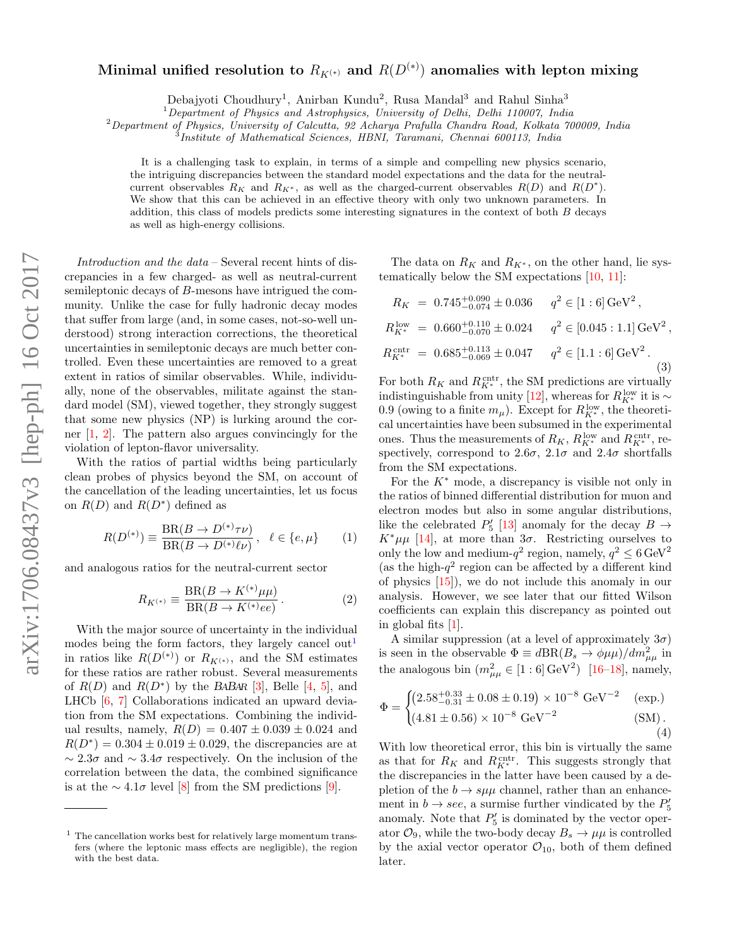## arXiv:1706.08437v3 [hep-ph] 16 Oct 2017 arXiv:1706.08437v3 [hep-ph] 16 Oct 2017

## Minimal unified resolution to  $R_{K^{(*)}}$  and  $R(D^{(*)})$  anomalies with lepton mixing

Debajyoti Choudhury<sup>1</sup>, Anirban Kundu<sup>2</sup>, Rusa Mandal<sup>3</sup> and Rahul Sinha<sup>3</sup>

 $1$ Department of Physics and Astrophysics, University of Delhi, Delhi 110007, India

 $^2$ Department of Physics, University of Calcutta, 92 Acharya Prafulla Chandra Road, Kolkata 700009, India

Institute of Mathematical Sciences, HBNI, Taramani, Chennai 600113, India

It is a challenging task to explain, in terms of a simple and compelling new physics scenario, the intriguing discrepancies between the standard model expectations and the data for the neutralcurrent observables  $R_K$  and  $R_{K^*}$ , as well as the charged-current observables  $R(D)$  and  $R(D^*)$ . We show that this can be achieved in an effective theory with only two unknown parameters. In addition, this class of models predicts some interesting signatures in the context of both  $B$  decays as well as high-energy collisions.

Introduction and the data – Several recent hints of discrepancies in a few charged- as well as neutral-current semileptonic decays of B-mesons have intrigued the community. Unlike the case for fully hadronic decay modes that suffer from large (and, in some cases, not-so-well understood) strong interaction corrections, the theoretical uncertainties in semileptonic decays are much better controlled. Even these uncertainties are removed to a great extent in ratios of similar observables. While, individually, none of the observables, militate against the standard model (SM), viewed together, they strongly suggest that some new physics (NP) is lurking around the corner [\[1,](#page-4-0) [2\]](#page-4-1). The pattern also argues convincingly for the violation of lepton-flavor universality.

With the ratios of partial widths being particularly clean probes of physics beyond the SM, on account of the cancellation of the leading uncertainties, let us focus on  $R(D)$  and  $R(D^*)$  defined as

$$
R(D^{(*)}) \equiv \frac{\text{BR}(B \to D^{(*)}\tau\nu)}{\text{BR}(B \to D^{(*)}\ell\nu)}, \ \ell \in \{e, \mu\} \qquad (1)
$$

and analogous ratios for the neutral-current sector

$$
R_{K^{(*)}} \equiv \frac{\text{BR}(B \to K^{(*)} \mu \mu)}{\text{BR}(B \to K^{(*)} e e)}.
$$
 (2)

With the major source of uncertainty in the individual modes being the form factors, they largely cancel out<sup>[1](#page-0-0)</sup> in ratios like  $R(D^{(*)})$  or  $R_{K^{(*)}}$ , and the SM estimates for these ratios are rather robust. Several measurements of  $R(D)$  and  $R(D^*)$  by the BABAR [\[3\]](#page-4-2), Belle [\[4,](#page-4-3) [5\]](#page-4-4), and LHCb [\[6,](#page-4-5) [7\]](#page-4-6) Collaborations indicated an upward deviation from the SM expectations. Combining the individual results, namely,  $R(D) = 0.407 \pm 0.039 \pm 0.024$  and  $R(D^*) = 0.304 \pm 0.019 \pm 0.029$ , the discrepancies are at ∼ 2.3σ and ∼ 3.4σ respectively. On the inclusion of the correlation between the data, the combined significance is at the  $\sim 4.1\sigma$  level [\[8\]](#page-4-7) from the SM predictions [\[9\]](#page-4-8).

The data on  $R_K$  and  $R_{K^*}$ , on the other hand, lie systematically below the SM expectations [\[10,](#page-4-9) [11\]](#page-4-10):

$$
R_K = 0.745^{+0.090}_{-0.074} \pm 0.036 \t q^2 \in [1:6] \text{ GeV}^2,
$$
  
\n
$$
R_{K^*}^{\text{low}} = 0.660^{+0.110}_{-0.070} \pm 0.024 \t q^2 \in [0.045:1.1] \text{ GeV}^2,
$$
  
\n
$$
R_{K^*}^{\text{cntr}} = 0.685^{+0.113}_{-0.069} \pm 0.047 \t q^2 \in [1.1:6] \text{ GeV}^2.
$$
  
\n(3)

For both  $R_K$  and  $R_{K^*}^{\text{cntr}}$ , the SM predictions are virtually indistinguishable from unity [\[12\]](#page-4-11), whereas for  $R_{K^*}^{\text{low}}$  it is  $\sim$ 0.9 (owing to a finite  $m_{\mu}$ ). Except for  $R_{K^*}^{\text{low}}$ , the theoretical uncertainties have been subsumed in the experimental ones. Thus the measurements of  $R_K$ ,  $R_{K^*}^{\text{low}}$  and  $R_{K^*}^{\text{cntr}}$ , respectively, correspond to  $2.6\sigma$ ,  $2.1\sigma$  and  $2.4\sigma$  shortfalls from the SM expectations.

For the  $K^*$  mode, a discrepancy is visible not only in the ratios of binned differential distribution for muon and electron modes but also in some angular distributions, like the celebrated  $P'_5$  [\[13\]](#page-4-12) anomaly for the decay  $B \to$  $K^*\mu\mu$  [\[14\]](#page-4-13), at more than  $3\sigma$ . Restricting ourselves to only the low and medium- $q^2$  region, namely,  $q^2 \leq 6 \,\text{GeV}^2$ (as the high- $q^2$  region can be affected by a different kind of physics [\[15\]](#page-4-14)), we do not include this anomaly in our analysis. However, we see later that our fitted Wilson coefficients can explain this discrepancy as pointed out in global fits [\[1\]](#page-4-0).

A similar suppression (at a level of approximately  $3\sigma$ ) is seen in the observable  $\Phi \equiv d\text{BR}(B_s \to \phi \mu\mu)/dm_{\mu\mu}^2$  in the analogous bin  $(m_{\mu\mu}^2 \in [1:6] \text{ GeV}^2)$  [\[16](#page-4-15)[–18\]](#page-4-16), namely,

$$
\Phi = \begin{cases}\n\left(2.58^{+0.33}_{-0.31} \pm 0.08 \pm 0.19\right) \times 10^{-8} \text{ GeV}^{-2} & \text{(exp.)} \\
\left(4.81 \pm 0.56\right) \times 10^{-8} \text{ GeV}^{-2} & \text{(SM)}.\n\end{cases}
$$
\n(4)

With low theoretical error, this bin is virtually the same as that for  $R_K$  and  $R_{K^*}^{\text{cntr}}$ . This suggests strongly that the discrepancies in the latter have been caused by a depletion of the  $b \to s\mu\mu$  channel, rather than an enhancement in  $b \rightarrow \text{see}$ , a surmise further vindicated by the  $P'_5$ anomaly. Note that  $P'_5$  is dominated by the vector operator  $\mathcal{O}_9$ , while the two-body decay  $B_s \to \mu\mu$  is controlled by the axial vector operator  $\mathcal{O}_{10}$ , both of them defined later.

<span id="page-0-0"></span><sup>1</sup> The cancellation works best for relatively large momentum transfers (where the leptonic mass effects are negligible), the region with the best data.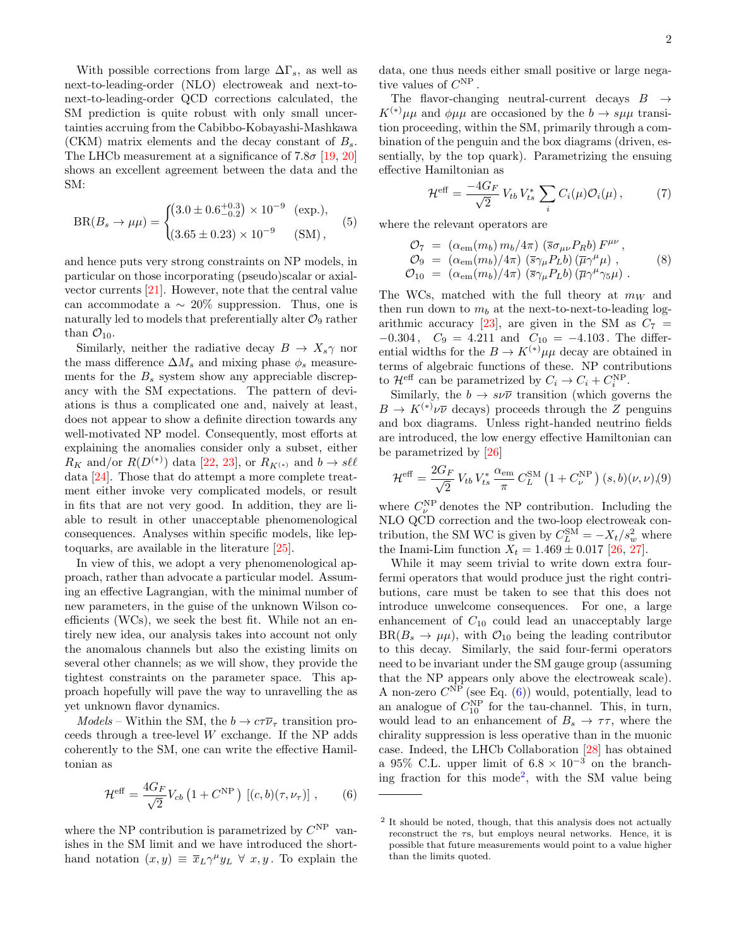With possible corrections from large  $\Delta\Gamma_s$ , as well as next-to-leading-order (NLO) electroweak and next-tonext-to-leading-order QCD corrections calculated, the SM prediction is quite robust with only small uncertainties accruing from the Cabibbo-Kobayashi-Mashkawa (CKM) matrix elements and the decay constant of  $B_{\rm s}$ . The LHCb measurement at a significance of 7.8 $\sigma$  [\[19,](#page-4-17) [20\]](#page-4-18) shows an excellent agreement between the data and the SM:

$$
BR(B_s \to \mu\mu) = \begin{cases} (3.0 \pm 0.6^{+0.3}_{-0.2}) \times 10^{-9} & \text{(exp.)},\\ (3.65 \pm 0.23) \times 10^{-9} & \text{(SM)}, \end{cases}
$$
 (5)

and hence puts very strong constraints on NP models, in particular on those incorporating (pseudo)scalar or axialvector currents [\[21\]](#page-4-19). However, note that the central value can accommodate a  $\sim 20\%$  suppression. Thus, one is naturally led to models that preferentially alter  $\mathcal{O}_9$  rather than  $\mathcal{O}_{10}$ .

Similarly, neither the radiative decay  $B \to X_s \gamma$  nor the mass difference  $\Delta M_s$  and mixing phase  $\phi_s$  measurements for the  $B_s$  system show any appreciable discrepancy with the SM expectations. The pattern of deviations is thus a complicated one and, naively at least, does not appear to show a definite direction towards any well-motivated NP model. Consequently, most efforts at explaining the anomalies consider only a subset, either  $R_K$  and/or  $R(D^{(*)})$  data [\[22,](#page-4-20) [23\]](#page-4-21), or  $R_{K^{(*)}}$  and  $b \to s \ell \ell$ data [\[24\]](#page-4-22). Those that do attempt a more complete treatment either invoke very complicated models, or result in fits that are not very good. In addition, they are liable to result in other unacceptable phenomenological consequences. Analyses within specific models, like leptoquarks, are available in the literature [\[25\]](#page-4-23).

In view of this, we adopt a very phenomenological approach, rather than advocate a particular model. Assuming an effective Lagrangian, with the minimal number of new parameters, in the guise of the unknown Wilson coefficients (WCs), we seek the best fit. While not an entirely new idea, our analysis takes into account not only the anomalous channels but also the existing limits on several other channels; as we will show, they provide the tightest constraints on the parameter space. This approach hopefully will pave the way to unravelling the as yet unknown flavor dynamics.

 $Models$  – Within the SM, the  $b \to c\tau\overline{\nu}_{\tau}$  transition proceeds through a tree-level W exchange. If the NP adds coherently to the SM, one can write the effective Hamiltonian as

<span id="page-1-0"></span>
$$
\mathcal{H}^{\text{eff}} = \frac{4G_F}{\sqrt{2}} V_{cb} \left( 1 + C^{\text{NP}} \right) \left[ (c, b)(\tau, \nu_\tau) \right], \qquad (6)
$$

where the NP contribution is parametrized by  $C^{NP}$  vanishes in the SM limit and we have introduced the shorthand notation  $(x, y) \equiv \overline{x}_L \gamma^\mu y_L \ \forall \ x, y$ . To explain the data, one thus needs either small positive or large negative values of  $C^{NP}$ .

The flavor-changing neutral-current decays  $B \rightarrow$  $K^{(*)}\mu\mu$  and  $\phi\mu\mu$  are occasioned by the  $b \to s\mu\mu$  transition proceeding, within the SM, primarily through a combination of the penguin and the box diagrams (driven, essentially, by the top quark). Parametrizing the ensuing effective Hamiltonian as

$$
\mathcal{H}^{\text{eff}} = \frac{-4G_F}{\sqrt{2}} V_{tb} V_{ts}^* \sum_i C_i(\mu) \mathcal{O}_i(\mu) , \qquad (7)
$$

where the relevant operators are

$$
\mathcal{O}_7 = (\alpha_{em}(m_b) m_b/4\pi) (\bar{s}\sigma_{\mu\nu} P_R b) F^{\mu\nu}, \n\mathcal{O}_9 = (\alpha_{em}(m_b)/4\pi) (\bar{s}\gamma_\mu P_L b) (\bar{\mu}\gamma^\mu \mu) , \n\mathcal{O}_{10} = (\alpha_{em}(m_b)/4\pi) (\bar{s}\gamma_\mu P_L b) (\bar{\mu}\gamma^\mu \gamma_5 \mu) .
$$
\n(8)

The WCs, matched with the full theory at  $m_W$  and then run down to  $m_b$  at the next-to-next-to-leading log-arithmic accuracy [\[23\]](#page-4-21), are given in the SM as  $C_7$  =  $-0.304$ ,  $C_9 = 4.211$  and  $C_{10} = -4.103$ . The differential widths for the  $B \to K^{(*)} \mu\mu$  decay are obtained in terms of algebraic functions of these. NP contributions to  $\mathcal{H}^{\text{eff}}$  can be parametrized by  $C_i \to C_i + C_i^{\text{NP}}$ .

Similarly, the  $b \to s\nu\overline{\nu}$  transition (which governs the  $B \to K^{(*)}\nu\overline{\nu}$  decays) proceeds through the Z penguins and box diagrams. Unless right-handed neutrino fields are introduced, the low energy effective Hamiltonian can be parametrized by [\[26\]](#page-4-24)

$$
\mathcal{H}^{\text{eff}} = \frac{2G_F}{\sqrt{2}} V_{tb} V_{ts}^* \frac{\alpha_{\text{em}}}{\pi} C_L^{\text{SM}} \left( 1 + C_{\nu}^{\text{NP}} \right) (s, b)(\nu, \nu), (9)
$$

where  $C_{\nu}^{\text{NP}}$  denotes the NP contribution. Including the NLO QCD correction and the two-loop electroweak contribution, the SM WC is given by  $C_L^{\text{SM}} = -X_t/s_w^2$  where the Inami-Lim function  $X_t = 1.469 \pm 0.017$  [\[26,](#page-4-24) [27\]](#page-4-25).

While it may seem trivial to write down extra fourfermi operators that would produce just the right contributions, care must be taken to see that this does not introduce unwelcome consequences. For one, a large enhancement of  $C_{10}$  could lead an unacceptably large  $BR(B_s \to \mu\mu)$ , with  $\mathcal{O}_{10}$  being the leading contributor to this decay. Similarly, the said four-fermi operators need to be invariant under the SM gauge group (assuming that the NP appears only above the electroweak scale). A non-zero  $C^{NP}$  (see Eq. [\(6\)](#page-1-0)) would, potentially, lead to an analogue of  $C_{10}^{NP}$  for the tau-channel. This, in turn, would lead to an enhancement of  $B_s \to \tau \tau$ , where the chirality suppression is less operative than in the muonic case. Indeed, the LHCb Collaboration [\[28\]](#page-4-26) has obtained a 95% C.L. upper limit of  $6.8 \times 10^{-3}$  on the branching fraction for this mode[2](#page-1-1) , with the SM value being

<span id="page-1-1"></span><sup>&</sup>lt;sup>2</sup> It should be noted, though, that this analysis does not actually reconstruct the τs, but employs neural networks. Hence, it is possible that future measurements would point to a value higher than the limits quoted.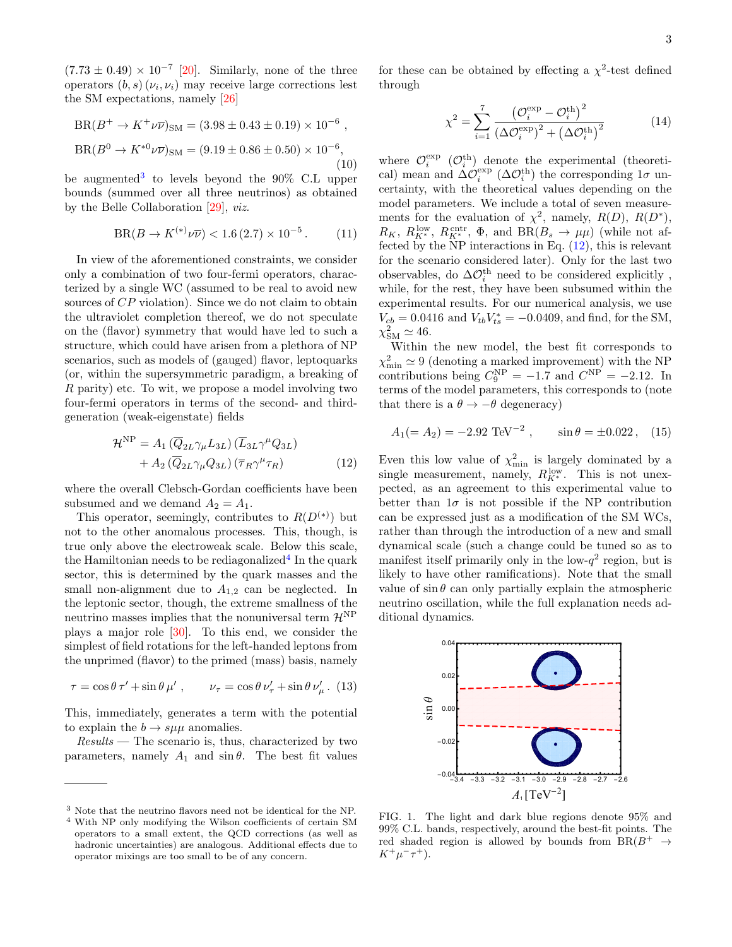$(7.73 \pm 0.49) \times 10^{-7}$  [\[20\]](#page-4-18). Similarly, none of the three operators  $(b, s)(\nu_i, \nu_i)$  may receive large corrections lest the SM expectations, namely [\[26\]](#page-4-24)

$$
BR(B^+ \to K^+ \nu \overline{\nu})_{\rm SM} = (3.98 \pm 0.43 \pm 0.19) \times 10^{-6} ,
$$
  

$$
BR(B^0 \to K^{*0} \nu \overline{\nu})_{\rm SM} = (9.19 \pm 0.86 \pm 0.50) \times 10^{-6},
$$
  
(10)

be augmented<sup>[3](#page-2-0)</sup> to levels beyond the 90% C.L upper bounds (summed over all three neutrinos) as obtained by the Belle Collaboration [\[29\]](#page-4-27), viz.

$$
BR(B \to K^{(*)} \nu \overline{\nu}) < 1.6 \, (2.7) \times 10^{-5} \,. \tag{11}
$$

In view of the aforementioned constraints, we consider only a combination of two four-fermi operators, characterized by a single WC (assumed to be real to avoid new sources of  $CP$  violation). Since we do not claim to obtain the ultraviolet completion thereof, we do not speculate on the (flavor) symmetry that would have led to such a structure, which could have arisen from a plethora of NP scenarios, such as models of (gauged) flavor, leptoquarks (or, within the supersymmetric paradigm, a breaking of R parity) etc. To wit, we propose a model involving two four-fermi operators in terms of the second- and thirdgeneration (weak-eigenstate) fields

$$
\mathcal{H}^{\rm NP} = A_1 \left( \overline{Q}_{2L} \gamma_\mu L_{3L} \right) \left( \overline{L}_{3L} \gamma^\mu Q_{3L} \right) + A_2 \left( \overline{Q}_{2L} \gamma_\mu Q_{3L} \right) \left( \overline{\tau}_R \gamma^\mu \tau_R \right)
$$
(12)

where the overall Clebsch-Gordan coefficients have been subsumed and we demand  $A_2 = A_1$ .

This operator, seemingly, contributes to  $R(D^{(*)})$  but not to the other anomalous processes. This, though, is true only above the electroweak scale. Below this scale, the Hamiltonian needs to be rediagonalized<sup>[4](#page-2-1)</sup> In the quark sector, this is determined by the quark masses and the small non-alignment due to  $A_{1,2}$  can be neglected. In the leptonic sector, though, the extreme smallness of the neutrino masses implies that the nonuniversal term  $\mathcal{H}^{\text{NP}}$ plays a major role [\[30\]](#page-4-28). To this end, we consider the simplest of field rotations for the left-handed leptons from the unprimed (flavor) to the primed (mass) basis, namely

<span id="page-2-3"></span>
$$
\tau = \cos \theta \tau' + \sin \theta \mu', \qquad \nu_{\tau} = \cos \theta \nu'_{\tau} + \sin \theta \nu'_{\mu}. (13)
$$

This, immediately, generates a term with the potential to explain the  $b \to s\mu\mu$  anomalies.

 $Results$  — The scenario is, thus, characterized by two parameters, namely  $A_1$  and  $\sin \theta$ . The best fit values

for these can be obtained by effecting a  $\chi^2$ -test defined through

$$
\chi^2 = \sum_{i=1}^7 \frac{\left(\mathcal{O}_i^{\exp} - \mathcal{O}_i^{\text{th}}\right)^2}{\left(\Delta \mathcal{O}_i^{\exp}\right)^2 + \left(\Delta \mathcal{O}_i^{\text{th}}\right)^2}
$$
(14)

where  $\mathcal{O}_i^{\text{exp}}$  ( $\mathcal{O}_i^{\text{th}}$ ) denote the experimental (theoretical) mean and  $\Delta \mathcal{O}_i^{\text{exp}}$  ( $\Delta \mathcal{O}_i^{\text{th}}$ ) the corresponding  $1\sigma$  uncertainty, with the theoretical values depending on the model parameters. We include a total of seven measurements for the evaluation of  $\chi^2$ , namely,  $R(D)$ ,  $R(D^*)$ ,  $R_K$ ,  $R_{K^*}^{\text{low}}$ ,  $R_{K^*}^{\text{cntr}}$ ,  $\Phi$ , and  $BR(B_s \to \mu\mu)$  (while not affected by the NP interactions in Eq. [\(12\)](#page-2-2), this is relevant for the scenario considered later). Only for the last two observables, do $\Delta\mathcal{O}_i^{\text{th}}$  need to be considered explicitly , while, for the rest, they have been subsumed within the experimental results. For our numerical analysis, we use  $V_{cb} = 0.0416$  and  $V_{tb}V_{ts}^* = -0.0409$ , and find, for the SM,  $\chi^2_{\rm SM} \simeq 46.$ 

Within the new model, the best fit corresponds to  $\chi^2_{\rm min} \simeq 9$  (denoting a marked improvement) with the NP contributions being  $C_9^{\text{NP}} = -1.7$  and  $C^{\text{NP}} = -2.12$ . In terms of the model parameters, this corresponds to (note that there is a  $\theta \rightarrow -\theta$  degeneracy)

$$
A_1(= A_2) = -2.92 \text{ TeV}^{-2}
$$
,  $\sin \theta = \pm 0.022$ , (15)

<span id="page-2-2"></span>Even this low value of  $\chi^2_{\rm min}$  is largely dominated by a single measurement, namely,  $R_{K^*}^{\text{low}}$ . This is not unexpected, as an agreement to this experimental value to better than  $1\sigma$  is not possible if the NP contribution can be expressed just as a modification of the SM WCs, rather than through the introduction of a new and small dynamical scale (such a change could be tuned so as to manifest itself primarily only in the low- $q^2$  region, but is likely to have other ramifications). Note that the small value of  $\sin \theta$  can only partially explain the atmospheric neutrino oscillation, while the full explanation needs additional dynamics.



<span id="page-2-4"></span>FIG. 1. The light and dark blue regions denote 95% and 99% C.L. bands, respectively, around the best-fit points. The red shaded region is allowed by bounds from  $BR(B^+ \rightarrow$  $K^+\mu^-\tau^+$ ).

<span id="page-2-0"></span><sup>3</sup> Note that the neutrino flavors need not be identical for the NP.

<span id="page-2-1"></span><sup>4</sup> With NP only modifying the Wilson coefficients of certain SM operators to a small extent, the QCD corrections (as well as hadronic uncertainties) are analogous. Additional effects due to operator mixings are too small to be of any concern.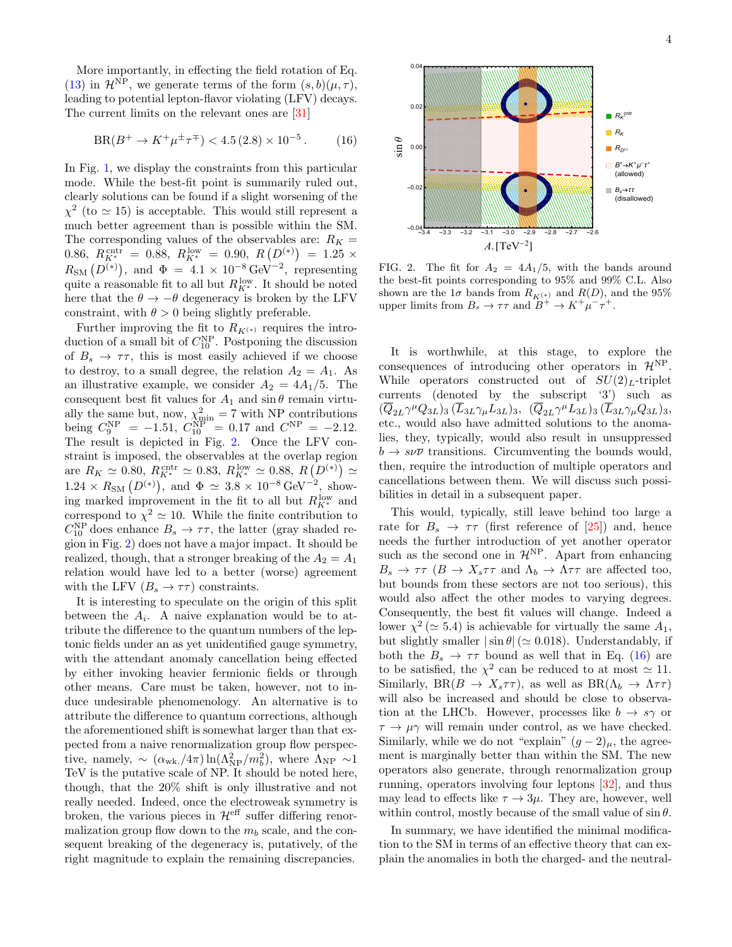More importantly, in effecting the field rotation of Eq. [\(13\)](#page-2-3) in  $\mathcal{H}^{\text{NP}}$ , we generate terms of the form  $(s, b)(\mu, \tau)$ , leading to potential lepton-flavor violating (LFV) decays. The current limits on the relevant ones are [\[31\]](#page-4-29)

<span id="page-3-1"></span>
$$
BR(B^+ \to K^+ \mu^{\pm} \tau^{\mp}) < 4.5 \, (2.8) \times 10^{-5} \,. \tag{16}
$$

In Fig. [1,](#page-2-4) we display the constraints from this particular mode. While the best-fit point is summarily ruled out, clearly solutions can be found if a slight worsening of the  $\chi^2$  (to  $\simeq$  15) is acceptable. This would still represent a much better agreement than is possible within the SM. The corresponding values of the observables are:  $R_K =$ 0.86,  $R_{K^*}^{\text{cntr}} = 0.88$ ,  $R_{K^*}^{\text{low}} = 0.90$ ,  $R(D^{(*)}) = 1.25 \times$  $R_{\text{SM}}(D^{(*)})$ , and  $\Phi = 4.1 \times 10^{-8} \text{ GeV}^{-2}$ , representing quite a reasonable fit to all but  $R_{K^*}^{\text{low}}$ . It should be noted here that the  $\theta \to -\theta$  degeneracy is broken by the LFV constraint, with  $\theta > 0$  being slightly preferable.

Further improving the fit to  $R_{K^{(*)}}$  requires the introduction of a small bit of  $C_{10}^{\text{NP}}$ . Postponing the discussion of  $B_s \to \tau \tau$ , this is most easily achieved if we choose to destroy, to a small degree, the relation  $A_2 = A_1$ . As an illustrative example, we consider  $A_2 = 4A_1/5$ . The consequent best fit values for  $A_1$  and  $\sin \theta$  remain virtually the same but, now,  $\chi^2_{\text{min}} = 7$  with NP contributions being  $C_9^{\text{NP}} = -1.51, C_{10}^{\text{NP}} = 0.17$  and  $C^{\text{NP}} = -2.12$ . The result is depicted in Fig. [2.](#page-3-0) Once the LFV constraint is imposed, the observables at the overlap region are  $R_K \simeq 0.80$ ,  $R_{K^*}^{\text{cntr}} \simeq 0.83$ ,  $R_{K^*}^{\text{low}} \simeq 0.88$ ,  $R(D^{(*)}) \simeq 1.24 \times R_{\text{SM}} (D^{(*)})$ , and  $\Phi \simeq 3.8 \times 10^{-8} \text{ GeV}^{-2}$ , showing marked improvement in the fit to all but  $R_{K^*}^{\text{low}}$  and correspond to  $\chi^2 \simeq 10$ . While the finite contribution to  $C_{10}^{\text{NP}}$  does enhance  $B_s \to \tau \tau$ , the latter (gray shaded region in Fig. [2\)](#page-3-0) does not have a major impact. It should be realized, though, that a stronger breaking of the  $A_2 = A_1$ relation would have led to a better (worse) agreement with the LFV  $(B_s \to \tau \tau)$  constraints.

It is interesting to speculate on the origin of this split between the  $A_i$ . A naive explanation would be to attribute the difference to the quantum numbers of the leptonic fields under an as yet unidentified gauge symmetry, with the attendant anomaly cancellation being effected by either invoking heavier fermionic fields or through other means. Care must be taken, however, not to induce undesirable phenomenology. An alternative is to attribute the difference to quantum corrections, although the aforementioned shift is somewhat larger than that expected from a naive renormalization group flow perspective, namely,  $\sim (\alpha_{\rm wk.}/4\pi) \ln(\Lambda_{\rm NP}^2/m_b^2)$ , where  $\Lambda_{\rm NP} \sim 1$ TeV is the putative scale of NP. It should be noted here, though, that the 20% shift is only illustrative and not really needed. Indeed, once the electroweak symmetry is broken, the various pieces in  $\mathcal{H}^{\text{eff}}$  suffer differing renormalization group flow down to the  $m_b$  scale, and the consequent breaking of the degeneracy is, putatively, of the right magnitude to explain the remaining discrepancies.



<span id="page-3-0"></span>FIG. 2. The fit for  $A_2 = 4A_1/5$ , with the bands around the best-fit points corresponding to 95% and 99% C.L. Also shown are the  $1\sigma$  bands from  $R_{K^{(*)}}$  and  $R(D)$ , and the 95% upper limits from  $B_s \to \tau \tau$  and  $B^+ \to K^+ \mu^- \tau^+$ .

It is worthwhile, at this stage, to explore the consequences of introducing other operators in  $\mathcal{H}^{\text{NP}}$ . While operators constructed out of  $SU(2)_L$ -triplet currents (denoted by the subscript '3') such as  $(\overline{Q}_{2L}\gamma^{\mu}Q_{3L})_3 (\overline{L}_{3L}\gamma_{\mu}L_{3L})_3, \ (\overline{Q}_{2L}\gamma^{\mu}L_{3L})_3 (\overline{L}_{3L}\gamma_{\mu}Q_{3L})_3,$ etc., would also have admitted solutions to the anomalies, they, typically, would also result in unsuppressed  $b \to s \nu \bar{\nu}$  transitions. Circumventing the bounds would, then, require the introduction of multiple operators and cancellations between them. We will discuss such possibilities in detail in a subsequent paper.

This would, typically, still leave behind too large a rate for  $B_s \to \tau \tau$  (first reference of [\[25\]](#page-4-23)) and, hence needs the further introduction of yet another operator such as the second one in  $\mathcal{H}^{\text{NP}}$ . Apart from enhancing  $B_s \to \tau \tau$  ( $B \to X_s \tau \tau$  and  $\Lambda_b \to \Lambda \tau \tau$  are affected too, but bounds from these sectors are not too serious), this would also affect the other modes to varying degrees. Consequently, the best fit values will change. Indeed a lower  $\chi^2$  ( $\simeq$  5.4) is achievable for virtually the same  $A_1$ , but slightly smaller  $|\sin \theta|$  ( $\simeq 0.018$ ). Understandably, if both the  $B_s \to \tau \tau$  bound as well that in Eq. [\(16\)](#page-3-1) are to be satisfied, the  $\chi^2$  can be reduced to at most  $\simeq 11$ . Similarly,  $BR(B \to X_s \tau \tau)$ , as well as  $BR(\Lambda_b \to \Lambda \tau \tau)$ will also be increased and should be close to observation at the LHCb. However, processes like  $b \to s\gamma$  or  $\tau \to \mu \gamma$  will remain under control, as we have checked. Similarly, while we do not "explain"  $(g-2)_{\mu}$ , the agreement is marginally better than within the SM. The new operators also generate, through renormalization group running, operators involving four leptons [\[32\]](#page-4-30), and thus may lead to effects like  $\tau \to 3\mu$ . They are, however, well within control, mostly because of the small value of  $\sin \theta$ .

In summary, we have identified the minimal modification to the SM in terms of an effective theory that can explain the anomalies in both the charged- and the neutral